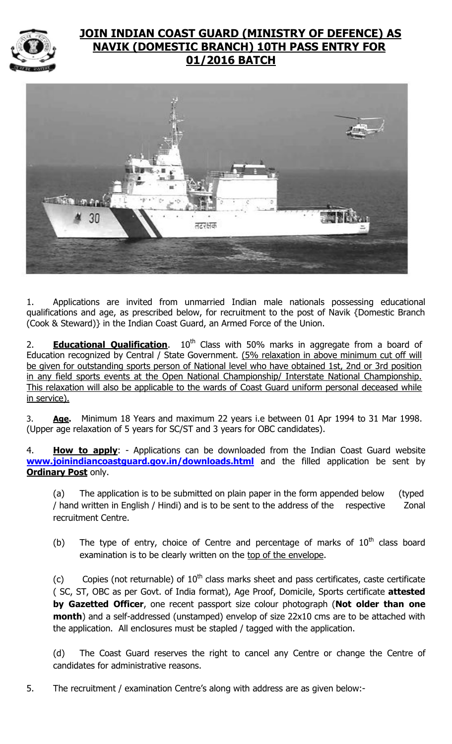

# **JOIN INDIAN COAST GUARD (MINISTRY OF DEFENCE) AS NAVIK (DOMESTIC BRANCH) 10TH PASS ENTRY FOR 01/2016 BATCH**



1. Applications are invited from unmarried Indian male nationals possessing educational qualifications and age, as prescribed below, for recruitment to the post of Navik {Domestic Branch (Cook & Steward)} in the Indian Coast Guard, an Armed Force of the Union.

2. **Educational Qualification**. 10<sup>th</sup> Class with 50% marks in aggregate from a board of Education recognized by Central / State Government. (5% relaxation in above minimum cut off will be given for outstanding sports person of National level who have obtained 1st, 2nd or 3rd position in any field sports events at the Open National Championship/ Interstate National Championship. This relaxation will also be applicable to the wards of Coast Guard uniform personal deceased while in service).

3. **Age.** Minimum 18 Years and maximum 22 years i.e between 01 Apr 1994 to 31 Mar 1998. (Upper age relaxation of 5 years for SC/ST and 3 years for OBC candidates).

4. **How to apply**: - Applications can be downloaded from the Indian Coast Guard website **[www.joinindiancoastguard.gov.in/downloads.html](http://www.joinindiancoastguard.gov.in/downloads.html)** and the filled application be sent by **Ordinary Post** only.

(a) The application is to be submitted on plain paper in the form appended below (typed / hand written in English / Hindi) and is to be sent to the address of the respective Zonal recruitment Centre.

(b) The type of entry, choice of Centre and percentage of marks of  $10<sup>th</sup>$  class board examination is to be clearly written on the top of the envelope.

(c) Copies (not returnable) of  $10<sup>th</sup>$  class marks sheet and pass certificates, caste certificate ( SC, ST, OBC as per Govt. of India format), Age Proof, Domicile, Sports certificate **attested by Gazetted Officer**, one recent passport size colour photograph (**Not older than one month**) and a self-addressed (unstamped) envelop of size 22x10 cms are to be attached with the application. All enclosures must be stapled / tagged with the application.

(d) The Coast Guard reserves the right to cancel any Centre or change the Centre of candidates for administrative reasons.

5. The recruitment / examination Centre's along with address are as given below:-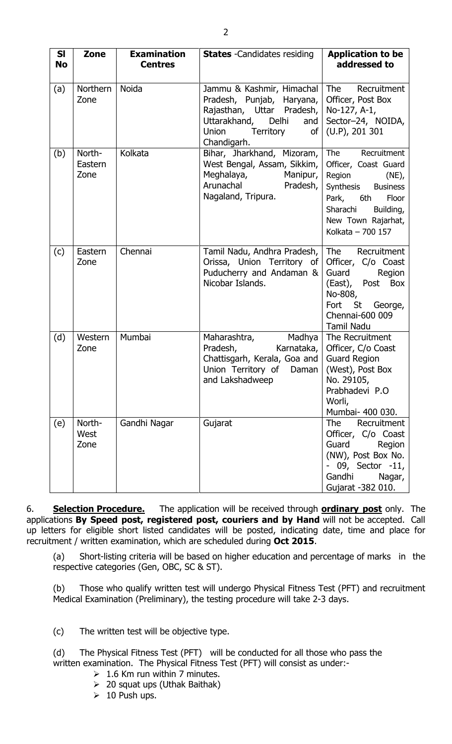| <b>SI</b><br><b>No</b> | Zone                      | <b>Examination</b><br><b>Centres</b> | <b>States</b> - Candidates residing                                                                                                                                             | <b>Application to be</b><br>addressed to                                                                                                                                         |
|------------------------|---------------------------|--------------------------------------|---------------------------------------------------------------------------------------------------------------------------------------------------------------------------------|----------------------------------------------------------------------------------------------------------------------------------------------------------------------------------|
| (a)                    | Northern<br>Zone          | Noida                                | Jammu & Kashmir, Himachal<br>Pradesh, Punjab, Haryana,<br>Rajasthan, Uttar Pradesh,<br>Uttarakhand, Delhi<br>and<br><b>Union</b><br>Territory<br>of <sub>l</sub><br>Chandigarh. | The<br>Recruitment<br>Officer, Post Box<br>No-127, A-1,<br>Sector-24, NOIDA,<br>$(U.P)$ , 201 301                                                                                |
| (b)                    | North-<br>Eastern<br>Zone | Kolkata                              | Bihar, Jharkhand, Mizoram,<br>West Bengal, Assam, Sikkim,<br>Meghalaya,<br>Manipur,<br>Arunachal<br>Pradesh,<br>Nagaland, Tripura.                                              | The<br>Recruitment<br>Officer, Coast Guard<br>Region<br>$(NE)$ ,<br>Synthesis Business<br>Park, 6th<br>Floor<br>Sharachi<br>Building,<br>New Town Rajarhat,<br>Kolkata - 700 157 |
| (c)                    | Eastern<br>Zone           | Chennai                              | Tamil Nadu, Andhra Pradesh,<br>Orissa, Union Territory of<br>Puducherry and Andaman &<br>Nicobar Islands.                                                                       | The<br>Recruitment<br>Officer, C/o Coast<br>Guard<br>Region<br>(East), Post Box<br>No-808,<br>St 5<br>George,<br>Fort<br>Chennai-600 009<br><b>Tamil Nadu</b>                    |
| (d)                    | Western<br>Zone           | Mumbai                               | Madhya<br>Maharashtra,<br>Pradesh,<br>Karnataka,<br>Chattisgarh, Kerala, Goa and<br>Union Territory of Daman<br>and Lakshadweep                                                 | The Recruitment<br>Officer, C/o Coast<br><b>Guard Region</b><br>(West), Post Box<br>No. 29105,<br>Prabhadevi P.O<br>Worli,<br>Mumbai- 400 030.                                   |
| (e)                    | North-<br>West<br>Zone    | Gandhi Nagar                         | Gujarat                                                                                                                                                                         | <b>The</b><br>Recruitment<br>Officer, C/o Coast<br>Guard<br>Region<br>(NW), Post Box No.<br>- 09, Sector -11,<br>Gandhi<br>Nagar,<br>Gujarat -382 010.                           |

6. **Selection Procedure.** The application will be received through **ordinary post** only. The applications **By Speed post, registered post, couriers and by Hand** will not be accepted. Call up letters for eligible short listed candidates will be posted, indicating date, time and place for recruitment / written examination, which are scheduled during **Oct 2015**.

(a) Short-listing criteria will be based on higher education and percentage of marks in the respective categories (Gen, OBC, SC & ST).

(b) Those who qualify written test will undergo Physical Fitness Test (PFT) and recruitment Medical Examination (Preliminary), the testing procedure will take 2-3 days.

(c) The written test will be objective type.

(d) The Physical Fitness Test (PFT) will be conducted for all those who pass the written examination. The Physical Fitness Test (PFT) will consist as under:-

- $\geq 1.6$  Km run within 7 minutes.
- $\geq 20$  squat ups (Uthak Baithak)
- $\geq 10$  Push ups.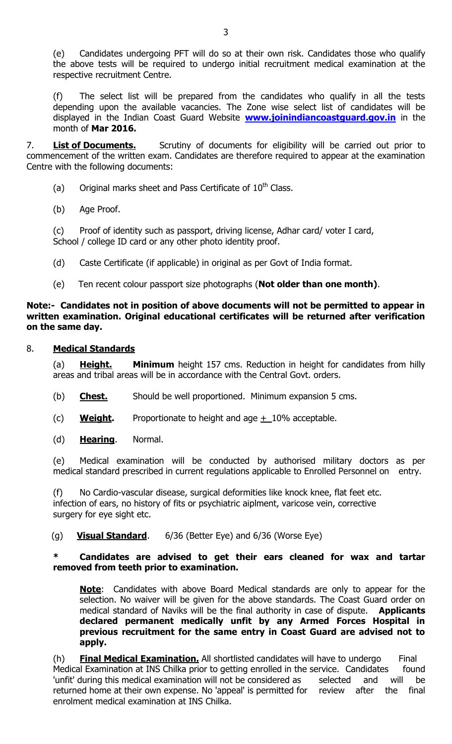(e) Candidates undergoing PFT will do so at their own risk. Candidates those who qualify the above tests will be required to undergo initial recruitment medical examination at the respective recruitment Centre.

(f) The select list will be prepared from the candidates who qualify in all the tests depending upon the available vacancies. The Zone wise select list of candidates will be displayed in the Indian Coast Guard Website **[www.joinindiancoastguard.gov.in](http://www.joinindiancoastguard.gov.in/)** in the month of **Mar 2016.**

7. **List of Documents.** Scrutiny of documents for eligibility will be carried out prior to commencement of the written exam. Candidates are therefore required to appear at the examination Centre with the following documents:

- (a) Original marks sheet and Pass Certificate of  $10<sup>th</sup>$  Class.
- (b) Age Proof.

(c) Proof of identity such as passport, driving license, Adhar card/ voter I card, School / college ID card or any other photo identity proof.

- (d) Caste Certificate (if applicable) in original as per Govt of India format.
- (e) Ten recent colour passport size photographs (**Not older than one month)**.

#### **Note:- Candidates not in position of above documents will not be permitted to appear in written examination. Original educational certificates will be returned after verification on the same day.**

#### 8. **Medical Standards**

(a) **Height. Minimum** height 157 cms. Reduction in height for candidates from hilly areas and tribal areas will be in accordance with the Central Govt. orders.

- (b) **Chest.** Should be well proportioned. Minimum expansion 5 cms.
- (c) **Weight.** Proportionate to height and age +\_10% acceptable.
- (d) **Hearing**. Normal.

(e) Medical examination will be conducted by authorised military doctors as per medical standard prescribed in current regulations applicable to Enrolled Personnel on entry.

(f) No Cardio-vascular disease, surgical deformities like knock knee, flat feet etc. infection of ears, no history of fits or psychiatric aiplment, varicose vein, corrective surgery for eye sight etc.

### (g) **Visual Standard**. 6/36 (Better Eye) and 6/36 (Worse Eye)

#### **\* Candidates are advised to get their ears cleaned for wax and tartar removed from teeth prior to examination.**

**Note**: Candidates with above Board Medical standards are only to appear for the selection. No waiver will be given for the above standards. The Coast Guard order on medical standard of Naviks will be the final authority in case of dispute. **Applicants declared permanent medically unfit by any Armed Forces Hospital in previous recruitment for the same entry in Coast Guard are advised not to apply.**

(h) **Final Medical Examination.** All shortlisted candidates will have to undergo Final Medical Examination at INS Chilka prior to getting enrolled in the service. Candidates found 'unfit' during this medical examination will not be considered as selected and will be returned home at their own expense. No 'appeal' is permitted for review after the final enrolment medical examination at INS Chilka.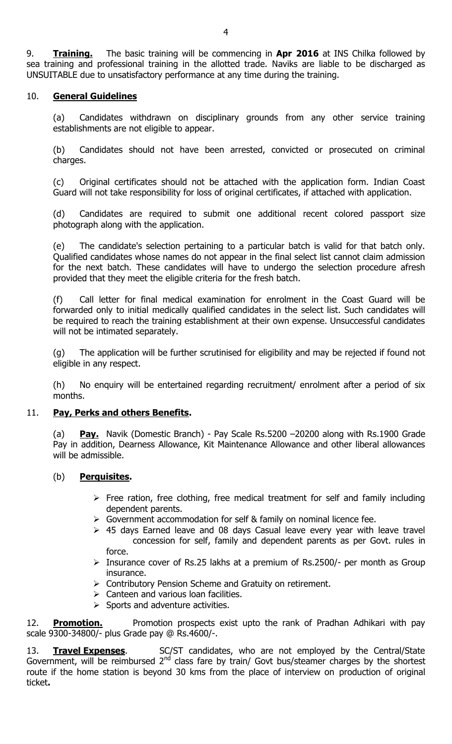9. **Training.** The basic training will be commencing in **Apr 2016** at INS Chilka followed by sea training and professional training in the allotted trade. Naviks are liable to be discharged as UNSUITABLE due to unsatisfactory performance at any time during the training.

## 10. **General Guidelines**

(a) Candidates withdrawn on disciplinary grounds from any other service training establishments are not eligible to appear.

(b) Candidates should not have been arrested, convicted or prosecuted on criminal charges.

(c) Original certificates should not be attached with the application form. Indian Coast Guard will not take responsibility for loss of original certificates, if attached with application.

(d) Candidates are required to submit one additional recent colored passport size photograph along with the application.

(e) The candidate's selection pertaining to a particular batch is valid for that batch only. Qualified candidates whose names do not appear in the final select list cannot claim admission for the next batch. These candidates will have to undergo the selection procedure afresh provided that they meet the eligible criteria for the fresh batch.

(f) Call letter for final medical examination for enrolment in the Coast Guard will be forwarded only to initial medically qualified candidates in the select list. Such candidates will be required to reach the training establishment at their own expense. Unsuccessful candidates will not be intimated separately.

(g) The application will be further scrutinised for eligibility and may be rejected if found not eligible in any respect.

(h) No enquiry will be entertained regarding recruitment/ enrolment after a period of six months.

#### 11. **Pay, Perks and others Benefits.**

(a) **Pay.** Navik (Domestic Branch) - Pay Scale Rs.5200 –20200 along with Rs.1900 Grade Pay in addition, Dearness Allowance, Kit Maintenance Allowance and other liberal allowances will be admissible.

#### (b) **Perquisites.**

- $\triangleright$  Free ration, free clothing, free medical treatment for self and family including dependent parents.
- Sovernment accommodation for self & family on nominal licence fee.
- $\geq$  45 days Earned leave and 08 days Casual leave every year with leave travel concession for self, family and dependent parents as per Govt. rules in force.
- $\triangleright$  Insurance cover of Rs.25 lakhs at a premium of Rs.2500/- per month as Group insurance.
- ▶ Contributory Pension Scheme and Gratuity on retirement.
- $\triangleright$  Canteen and various loan facilities.
- $\triangleright$  Sports and adventure activities.

12. **Promotion.** Promotion prospects exist upto the rank of Pradhan Adhikari with pay scale 9300-34800/- plus Grade pay @ Rs.4600/-.

13. **Travel Expenses**. SC/ST candidates, who are not employed by the Central/State Government, will be reimbursed  $2^{nd}$  class fare by train/ Govt bus/steamer charges by the shortest route if the home station is beyond 30 kms from the place of interview on production of original ticket**.**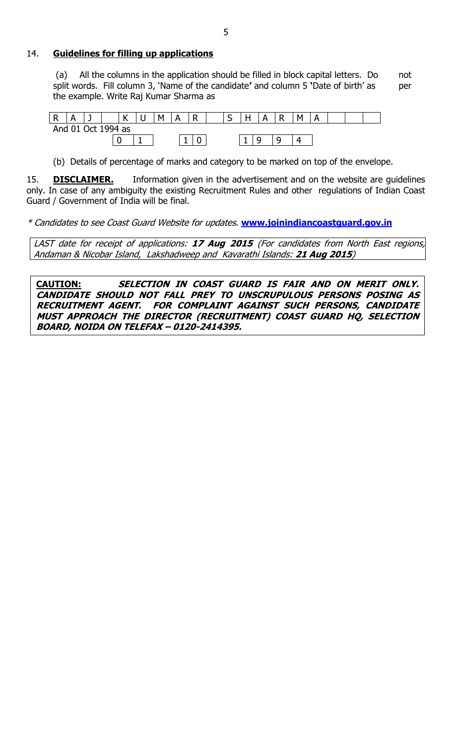#### 14. **Guidelines for filling up applications**

(a) All the columns in the application should be filled in block capital letters. Do not split words. Fill column 3, 'Name of the candidate' and column 5 'Date of birth' as per the example. Write Raj Kumar Sharma as

| D<br>. . |                    |   | $\mathcal{L}$<br>. . | ີ | м | Δ | R<br>. . | ∽<br>ັ | н<br>. . | А | R | M |  |  |
|----------|--------------------|---|----------------------|---|---|---|----------|--------|----------|---|---|---|--|--|
|          | And 01 Oct 1994 as |   |                      |   |   |   |          |        |          |   |   |   |  |  |
|          |                    | ∼ |                      |   |   |   |          |        |          |   |   |   |  |  |

(b) Details of percentage of marks and category to be marked on top of the envelope.

15. **DISCLAIMER.** Information given in the advertisement and on the website are guidelines only. In case of any ambiguity the existing Recruitment Rules and other regulations of Indian Coast Guard / Government of India will be final.

\* Candidates to see Coast Guard Website for updates. **[www.joinindiancoastguard.gov.in](http://www.joinindiancoastguard.gov.in/)**

LAST date for receipt of applications: **17 Aug 2015** (For candidates from North East regions, Andaman & Nicobar Island, Lakshadweep and Kavarathi Islands: **21 Aug 2015**)

**CAUTION: SELECTION IN COAST GUARD IS FAIR AND ON MERIT ONLY. CANDIDATE SHOULD NOT FALL PREY TO UNSCRUPULOUS PERSONS POSING AS RECRUITMENT AGENT. FOR COMPLAINT AGAINST SUCH PERSONS, CANDIDATE MUST APPROACH THE DIRECTOR (RECRUITMENT) COAST GUARD HQ, SELECTION BOARD, NOIDA ON TELEFAX – 0120-2414395.**